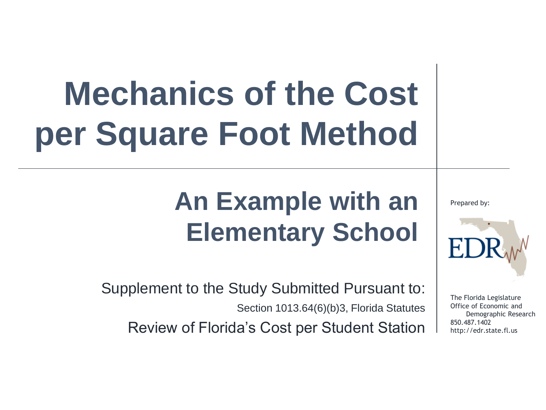# **Mechanics of the Cost per Square Foot Method**

### **An Example with an Elementary School**

Supplement to the Study Submitted Pursuant to: Section 1013.64(6)(b)3, Florida Statutes Review of Florida's Cost per Student Station

Prepared by:



The Florida Legislature Office of Economic and Demographic Research 850.487.1402 http://edr.state.fl.us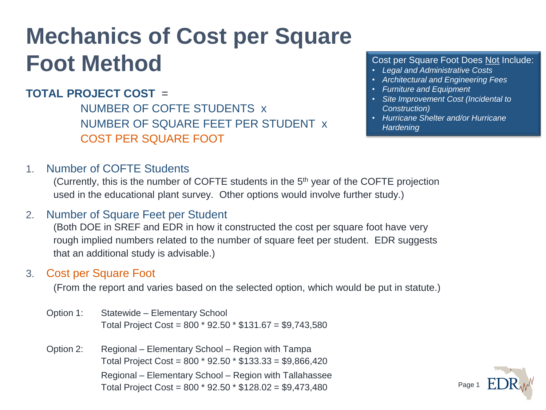### **Mechanics of Cost per Square Foot Method**

#### **TOTAL PROJECT COST** =

NUMBER OF COFTE STUDENTS x NUMBER OF SQUARE FEET PER STUDENT x COST PER SQUARE FOOT

#### Cost per Square Foot Does Not Include:

- *Legal and Administrative Costs*
- *Architectural and Engineering Fees*
- *Furniture and Equipment*
- *Site Improvement Cost (Incidental to Construction)*
- *Hurricane Shelter and/or Hurricane Hardening*

1. Number of COFTE Students

(Currently, this is the number of COFTE students in the 5th year of the COFTE projection used in the educational plant survey. Other options would involve further study.)

#### 2. Number of Square Feet per Student

(Both DOE in SREF and EDR in how it constructed the cost per square foot have very rough implied numbers related to the number of square feet per student. EDR suggests that an additional study is advisable.)

#### 3. Cost per Square Foot

(From the report and varies based on the selected option, which would be put in statute.)

- Option 1: Statewide Elementary School Total Project Cost = 800 \* 92.50 \* \$131.67 = \$9,743,580
- Option 2: Regional Elementary School Region with Tampa Total Project Cost = 800 \* 92.50 \* \$133.33 = \$9,866,420 Regional – Elementary School – Region with Tallahassee Total Project Cost = 800 \* 92.50 \* \$128.02 = \$9,473,480

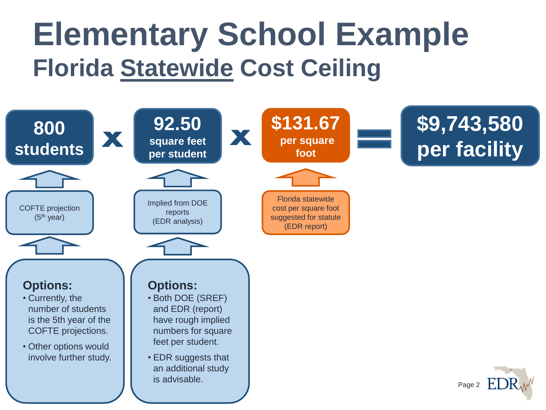## **Elementary School Example Florida Statewide Cost Ceiling**